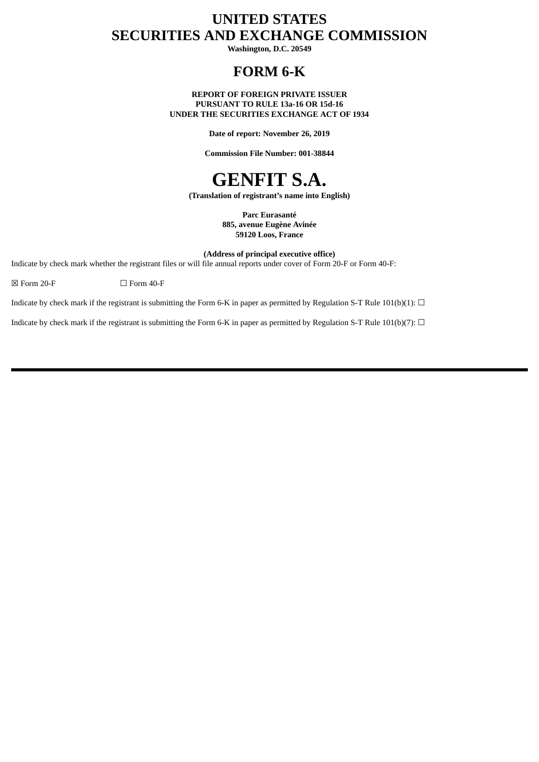# **UNITED STATES SECURITIES AND EXCHANGE COMMISSION**

**Washington, D.C. 20549**

## **FORM 6-K**

**REPORT OF FOREIGN PRIVATE ISSUER PURSUANT TO RULE 13a-16 OR 15d-16 UNDER THE SECURITIES EXCHANGE ACT OF 1934**

**Date of report: November 26, 2019**

**Commission File Number: 001-38844**

# **GENFIT S.A.**

**(Translation of registrant's name into English)**

**Parc Eurasanté 885, avenue Eugène Avinée 59120 Loos, France**

**(Address of principal executive office)**

Indicate by check mark whether the registrant files or will file annual reports under cover of Form 20-F or Form 40-F:

 $\boxtimes$  Form 20-F  $\Box$  Form 40-F

Indicate by check mark if the registrant is submitting the Form 6-K in paper as permitted by Regulation S-T Rule 101(b)(1):  $\Box$ 

Indicate by check mark if the registrant is submitting the Form 6-K in paper as permitted by Regulation S-T Rule 101(b)(7):  $\Box$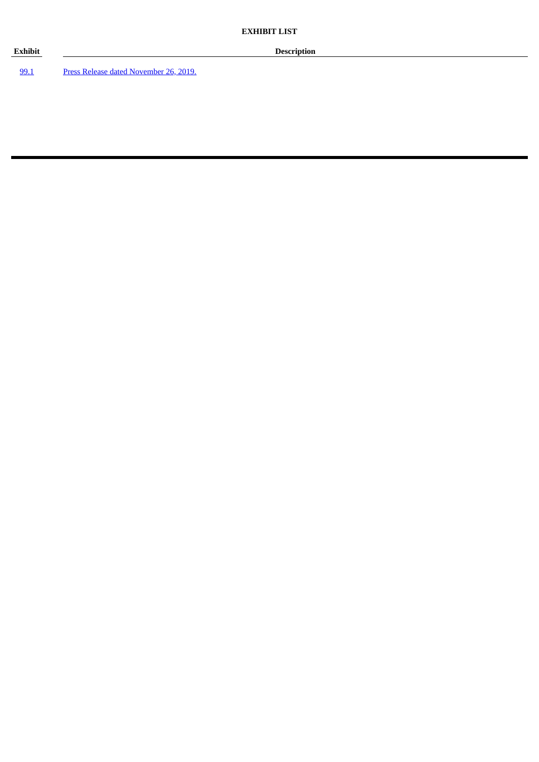99.1 Press Release dated November 26, 2019.

**Exhibit Description**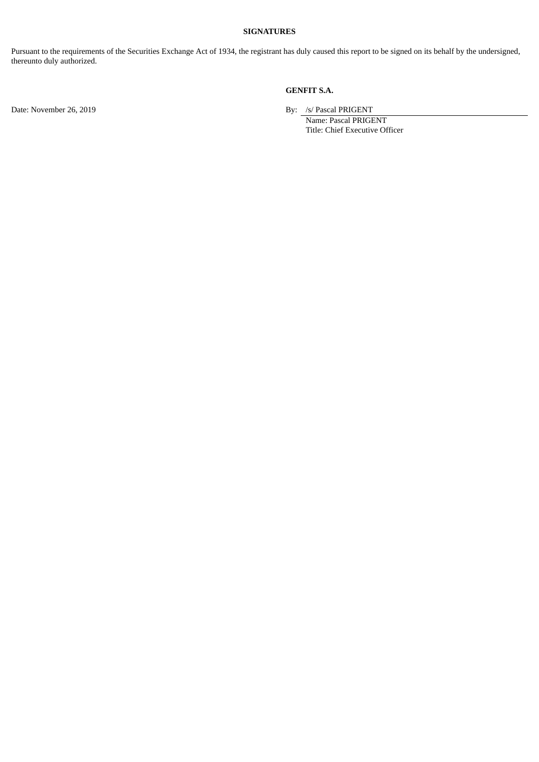#### **SIGNATURES**

Pursuant to the requirements of the Securities Exchange Act of 1934, the registrant has duly caused this report to be signed on its behalf by the undersigned, thereunto duly authorized.

#### **GENFIT S.A.**

Date: November 26, 2019 **By:** /s/ Pascal PRIGENT

Name: Pascal PRIGENT Title: Chief Executive Officer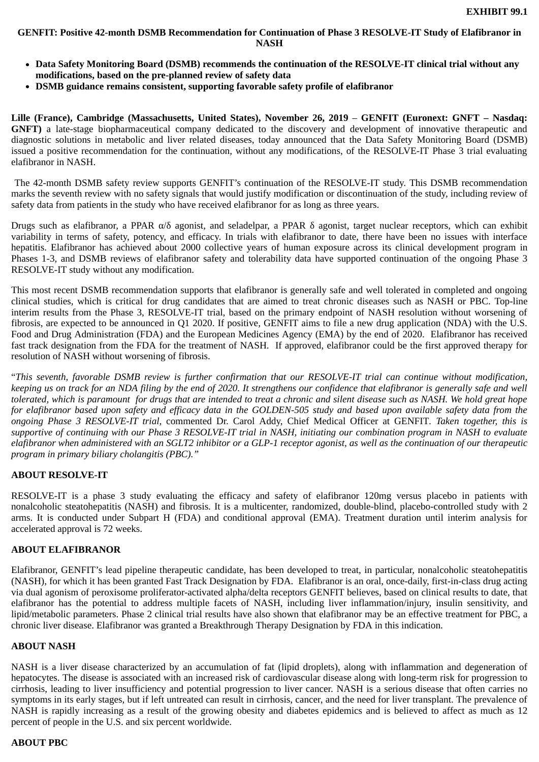#### **GENFIT: Positive 42-month DSMB Recommendation for Continuation of Phase 3 RESOLVE-IT Study of Elafibranor in NASH**

- **Data Safety Monitoring Board (DSMB) recommends the continuation of the RESOLVE-IT clinical trial without any modifications, based on the pre-planned review of safety data**
- **DSMB guidance remains consistent, supporting favorable safety profile of elafibranor**

**Lille (France), Cambridge (Massachusetts, United States), November 26, 2019** – **GENFIT (Euronext: GNFT – Nasdaq: GNFT)** a late-stage biopharmaceutical company dedicated to the discovery and development of innovative therapeutic and diagnostic solutions in metabolic and liver related diseases, today announced that the Data Safety Monitoring Board (DSMB) issued a positive recommendation for the continuation, without any modifications, of the RESOLVE-IT Phase 3 trial evaluating elafibranor in NASH.

The 42-month DSMB safety review supports GENFIT's continuation of the RESOLVE-IT study. This DSMB recommendation marks the seventh review with no safety signals that would justify modification or discontinuation of the study, including review of safety data from patients in the study who have received elafibranor for as long as three years.

Drugs such as elafibranor, a PPAR α/δ agonist, and seladelpar, a PPAR δ agonist, target nuclear receptors, which can exhibit variability in terms of safety, potency, and efficacy. In trials with elafibranor to date, there have been no issues with interface hepatitis. Elafibranor has achieved about 2000 collective years of human exposure across its clinical development program in Phases 1-3, and DSMB reviews of elafibranor safety and tolerability data have supported continuation of the ongoing Phase 3 RESOLVE-IT study without any modification.

This most recent DSMB recommendation supports that elafibranor is generally safe and well tolerated in completed and ongoing clinical studies, which is critical for drug candidates that are aimed to treat chronic diseases such as NASH or PBC. Top-line interim results from the Phase 3, RESOLVE-IT trial, based on the primary endpoint of NASH resolution without worsening of fibrosis, are expected to be announced in Q1 2020. If positive, GENFIT aims to file a new drug application (NDA) with the U.S. Food and Drug Administration (FDA) and the European Medicines Agency (EMA) by the end of 2020. Elafibranor has received fast track designation from the FDA for the treatment of NASH. If approved, elafibranor could be the first approved therapy for resolution of NASH without worsening of fibrosis.

"*This seventh, favorable DSMB review is further confirmation that our RESOLVE-IT trial can continue without modification, keeping us on track for an NDA filing by the end of 2020. It strengthens our confidence that elafibranor is generally safe and well tolerated, which is paramount for drugs that are intended to treat a chronic and silent disease such as NASH. We hold great hope for elafibranor based upon safety and efficacy data in the GOLDEN-505 study and based upon available safety data from the ongoing Phase 3 RESOLVE-IT trial,* commented Dr. Carol Addy, Chief Medical Officer at GENFIT*. Taken together, this is supportive of continuing with our Phase 3 RESOLVE-IT trial in NASH, initiating our combination program in NASH to evaluate elafibranor when administered with an SGLT2 inhibitor or a GLP-1 receptor agonist, as well as the continuation of our therapeutic program in primary biliary cholangitis (PBC)."* 

#### **ABOUT RESOLVE-IT**

RESOLVE-IT is a phase 3 study evaluating the efficacy and safety of elafibranor 120mg versus placebo in patients with nonalcoholic steatohepatitis (NASH) and fibrosis. It is a multicenter, randomized, double-blind, placebo-controlled study with 2 arms. It is conducted under Subpart H (FDA) and conditional approval (EMA). Treatment duration until interim analysis for accelerated approval is 72 weeks.

#### **ABOUT ELAFIBRANOR**

Elafibranor, GENFIT's lead pipeline therapeutic candidate, has been developed to treat, in particular, nonalcoholic steatohepatitis (NASH), for which it has been granted Fast Track Designation by FDA. Elafibranor is an oral, once-daily, first-in-class drug acting via dual agonism of peroxisome proliferator-activated alpha/delta receptors GENFIT believes, based on clinical results to date, that elafibranor has the potential to address multiple facets of NASH, including liver inflammation/injury, insulin sensitivity, and lipid/metabolic parameters. Phase 2 clinical trial results have also shown that elafibranor may be an effective treatment for PBC, a chronic liver disease. Elafibranor was granted a Breakthrough Therapy Designation by FDA in this indication.

#### **ABOUT NASH**

NASH is a liver disease characterized by an accumulation of fat (lipid droplets), along with inflammation and degeneration of hepatocytes. The disease is associated with an increased risk of cardiovascular disease along with long-term risk for progression to cirrhosis, leading to liver insufficiency and potential progression to liver cancer. NASH is a serious disease that often carries no symptoms in its early stages, but if left untreated can result in cirrhosis, cancer, and the need for liver transplant. The prevalence of NASH is rapidly increasing as a result of the growing obesity and diabetes epidemics and is believed to affect as much as 12 percent of people in the U.S. and six percent worldwide.

#### **ABOUT PBC**